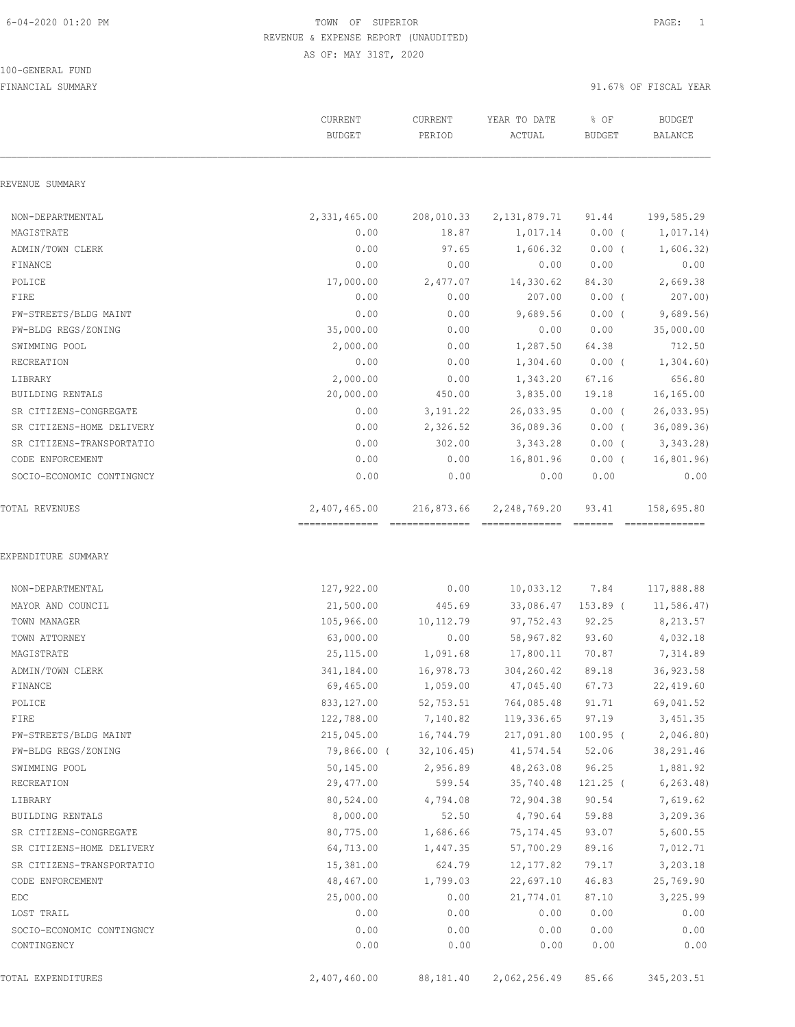#### 100-GENERAL FUND

|                           | CURRENT<br><b>BUDGET</b> | CURRENT<br>PERIOD | YEAR TO DATE<br>ACTUAL | % OF<br><b>BUDGET</b> | <b>BUDGET</b><br>BALANCE |
|---------------------------|--------------------------|-------------------|------------------------|-----------------------|--------------------------|
| REVENUE SUMMARY           |                          |                   |                        |                       |                          |
| NON-DEPARTMENTAL          | 2,331,465.00             | 208,010.33        | 2,131,879.71           | 91.44                 | 199,585.29               |
| MAGISTRATE                | 0.00                     | 18.87             | 1,017.14               | $0.00$ (              | 1,017.14)                |
| ADMIN/TOWN CLERK          | 0.00                     | 97.65             | 1,606.32               | $0.00$ (              | 1,606.32)                |
| FINANCE                   | 0.00                     | 0.00              | 0.00                   | 0.00                  | 0.00                     |
| POLICE                    | 17,000.00                | 2,477.07          | 14,330.62              | 84.30                 | 2,669.38                 |
| FIRE                      | 0.00                     | 0.00              | 207.00                 | $0.00$ (              | 207.00                   |
| PW-STREETS/BLDG MAINT     | 0.00                     | 0.00              | 9,689.56               | $0.00$ (              | 9,689.56                 |
| PW-BLDG REGS/ZONING       | 35,000.00                | 0.00              | 0.00                   | 0.00                  | 35,000.00                |
| SWIMMING POOL             | 2,000.00                 | 0.00              | 1,287.50               | 64.38                 | 712.50                   |
| RECREATION                | 0.00                     | 0.00              | 1,304.60               | $0.00$ (              | 1,304.60                 |
| LIBRARY                   | 2,000.00                 | 0.00              | 1,343.20               | 67.16                 | 656.80                   |
| <b>BUILDING RENTALS</b>   | 20,000.00                | 450.00            | 3,835.00               | 19.18                 | 16,165.00                |
| SR CITIZENS-CONGREGATE    | 0.00                     | 3, 191.22         | 26,033.95              | $0.00$ (              | 26,033.95                |
| SR CITIZENS-HOME DELIVERY | 0.00                     | 2,326.52          | 36,089.36              | $0.00$ (              | 36,089.36                |
| SR CITIZENS-TRANSPORTATIO | 0.00                     | 302.00            | 3,343.28               | $0.00$ (              | 3,343.28                 |
| CODE ENFORCEMENT          | 0.00                     | 0.00              | 16,801.96              | $0.00$ (              | 16,801.96)               |
| SOCIO-ECONOMIC CONTINGNCY | 0.00                     | 0.00              | 0.00                   | 0.00                  | 0.00                     |
| TOTAL REVENUES            | 2,407,465.00             | 216,873.66        | 2,248,769.20           | 93.41                 | 158,695.80               |
| EXPENDITURE SUMMARY       |                          |                   |                        |                       |                          |
| NON-DEPARTMENTAL          | 127,922.00               | 0.00              | 10,033.12 7.84         |                       | 117,888.88               |
| MAYOR AND COUNCIL         | 21,500.00                | 445.69            | 33,086.47              | $153.89$ (            | 11,586.47                |
| TOWN MANAGER              | 105,966.00               | 10,112.79         | 97,752.43              | 92.25                 | 8,213.57                 |
| TOWN ATTORNEY             | 63,000.00                | 0.00              | 58,967.82              | 93.60                 | 4,032.18                 |
| MAGISTRATE                | 25, 115.00               | 1,091.68          | 17,800.11              | 70.87                 | 7,314.89                 |
| ADMIN/TOWN CLERK          | 341,184.00               | 16,978.73         | 304,260.42             | 89.18                 | 36,923.58                |
| FINANCE                   | 69,465.00                | 1,059.00          | 47,045.40              | 67.73                 | 22,419.60                |
| POLICE                    | 833,127.00               | 52,753.51         | 764,085.48             | 91.71                 | 69,041.52                |
| FIRE                      | 122,788.00               | 7,140.82          | 119,336.65 97.19       |                       | 3,451.35                 |
| PW-STREETS/BLDG MAINT     | 215,045.00               | 16,744.79         | 217,091.80 100.95 (    |                       | 2,046.80)                |
| PW-BLDG REGS/ZONING       | 79,866.00 (              | 32,106.45)        | 41,574.54 52.06        |                       | 38,291.46                |
| SWIMMING POOL             | 50,145.00                | 2,956.89          |                        | 48,263.08 96.25       | 1,881.92                 |
| RECREATION                | 29,477.00                | 599.54            |                        | 35,740.48 121.25 (    | 6, 263.48                |
| LIBRARY                   | 80,524.00                | 4,794.08          | 72,904.38              | 90.54                 | 7,619.62                 |
| BUILDING RENTALS          | 8,000.00                 | 52.50             | 4,790.64               | 59.88                 | 3,209.36                 |
| SR CITIZENS-CONGREGATE    | 80,775.00                | 1,686.66          | 75,174.45              | 93.07                 | 5,600.55                 |
| SR CITIZENS-HOME DELIVERY | 64,713.00                | 1,447.35          | 57,700.29              | 89.16                 | 7,012.71                 |
| SR CITIZENS-TRANSPORTATIO | 15,381.00                | 624.79            | 12,177.82              | 79.17                 | 3,203.18                 |
| CODE ENFORCEMENT          | 48,467.00                | 1,799.03          | 22,697.10              | 46.83                 | 25,769.90                |
| EDC                       | 25,000.00                | 0.00              | 21,774.01              | 87.10                 | 3,225.99                 |
| LOST TRAIL                | 0.00                     | 0.00              | 0.00                   | 0.00                  | 0.00                     |
| SOCIO-ECONOMIC CONTINGNCY | 0.00                     | 0.00              | 0.00                   | 0.00                  | 0.00                     |
| CONTINGENCY               | 0.00                     | 0.00              | 0.00                   | 0.00                  | 0.00                     |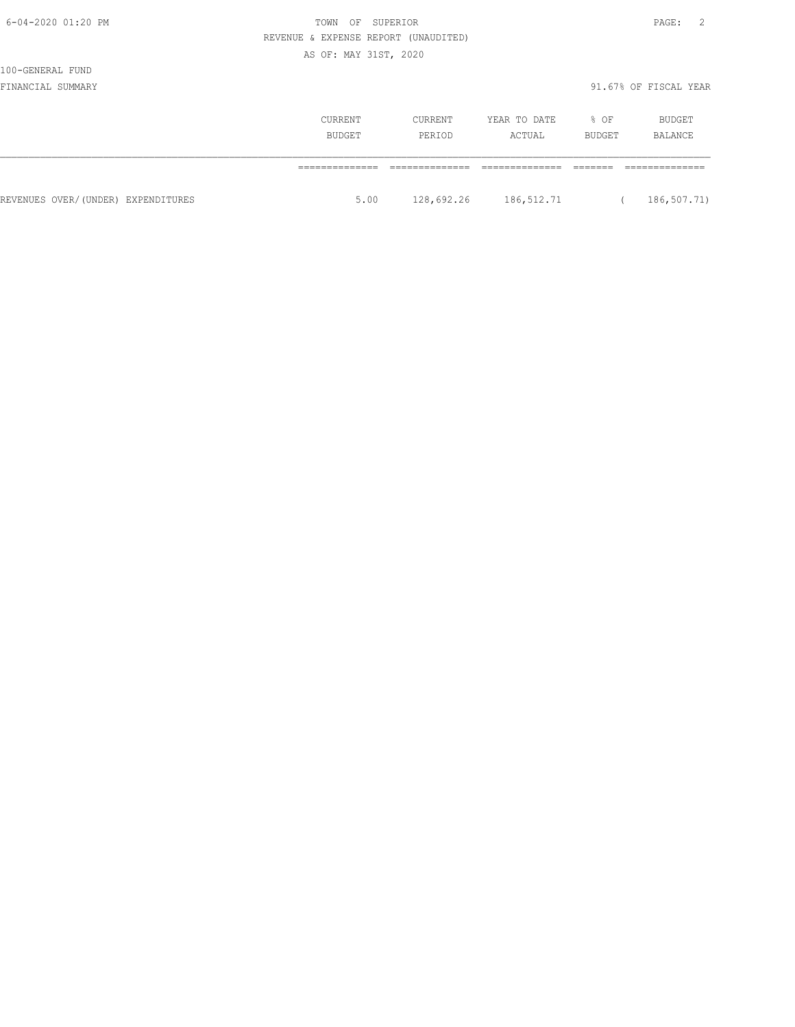100-GENERAL FUND

|                                    | CURRENT<br><b>BUDGET</b> | CURRENT<br>PERIOD | YEAR TO DATE<br>ACTUAL | % OF<br>BUDGET | BUDGET<br>BALANCE |
|------------------------------------|--------------------------|-------------------|------------------------|----------------|-------------------|
|                                    |                          |                   |                        |                |                   |
| REVENUES OVER/(UNDER) EXPENDITURES | 5.00                     | 128,692.26        | 186,512.71             |                | 186,507.71)       |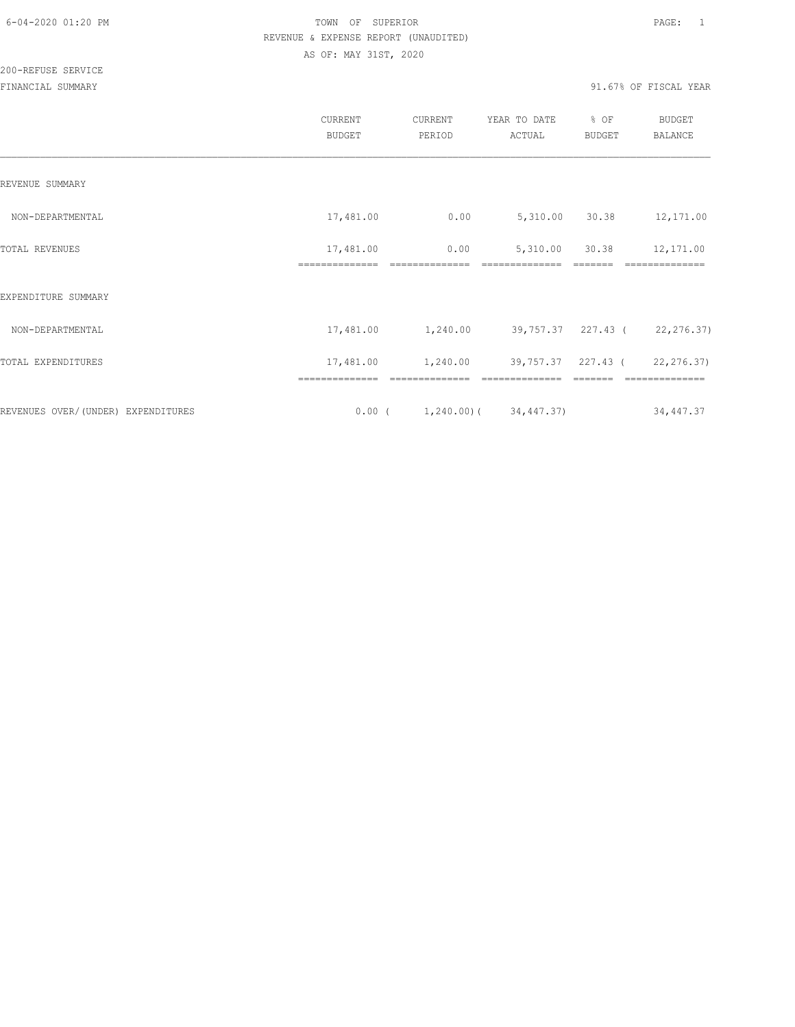200-REFUSE SERVICE

|                                    | CURRENT<br><b>BUDGET</b>    | CURRENT<br>PERIOD                                       | YEAR TO DATE<br>ACTUAL        | % OF<br>BUDGET   | <b>BUDGET</b><br><b>BALANCE</b> |
|------------------------------------|-----------------------------|---------------------------------------------------------|-------------------------------|------------------|---------------------------------|
| REVENUE SUMMARY                    |                             |                                                         |                               |                  |                                 |
| NON-DEPARTMENTAL                   | 17,481.00                   | 0.00                                                    |                               | 5,310.00 30.38   | 12,171.00                       |
| TOTAL REVENUES                     | 17,481.00<br>============== | 0.00<br>---------------                                 | 5,310.00<br>--------------    | 30.38<br>------- | 12,171.00<br>--------------     |
| EXPENDITURE SUMMARY                |                             |                                                         |                               |                  |                                 |
| NON-DEPARTMENTAL                   |                             | 17,481.00 1,240.00                                      | 39,757.37 227.43 (22,276.37)  |                  |                                 |
| TOTAL EXPENDITURES                 | 17,481.00                   | 1,240.00                                                | 39,757.37 227.43 ( 22,276.37) |                  |                                 |
| REVENUES OVER/(UNDER) EXPENDITURES | ==============              | ==============<br>$0.00$ ( $1,240.00$ ) ( $34,447.37$ ) | ==============                |                  | ==============<br>34,447.37     |
|                                    |                             |                                                         |                               |                  |                                 |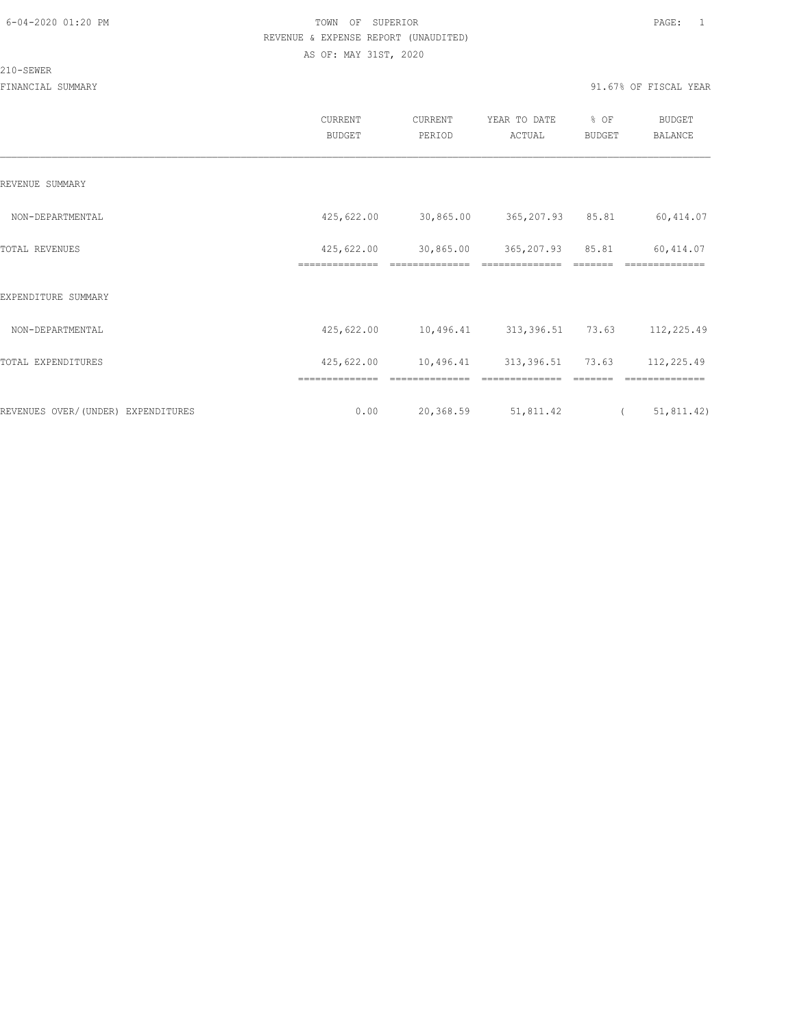#### 210-SEWER

|                                    | CURRENT<br><b>BUDGET</b>     | CURRENT<br>PERIOD           | YEAR TO DATE<br>ACTUAL | % OF<br>BUDGET | <b>BUDGET</b><br>BALANCE |
|------------------------------------|------------------------------|-----------------------------|------------------------|----------------|--------------------------|
| REVENUE SUMMARY                    |                              |                             |                        |                |                          |
| NON-DEPARTMENTAL                   | 425,622.00                   | 30,865.00                   | 365,207.93 85.81       |                | 60,414.07                |
| TOTAL REVENUES                     | 425,622.00<br>============== | 30,865.00<br>============== | 365, 207.93 85.81      |                | 60, 414.07<br>========== |
| EXPENDITURE SUMMARY                |                              |                             |                        |                |                          |
| NON-DEPARTMENTAL                   | 425,622.00                   | 10,496.41                   | 313,396.51 73.63       |                | 112,225.49               |
| TOTAL EXPENDITURES                 | 425,622.00                   | 10,496.41 313,396.51 73.63  |                        |                | 112,225.49               |
|                                    | ==============               |                             |                        |                |                          |
| REVENUES OVER/(UNDER) EXPENDITURES | 0.00                         | 20,368.59                   | 51,811.42              |                | 51, 811.42)<br>$\left($  |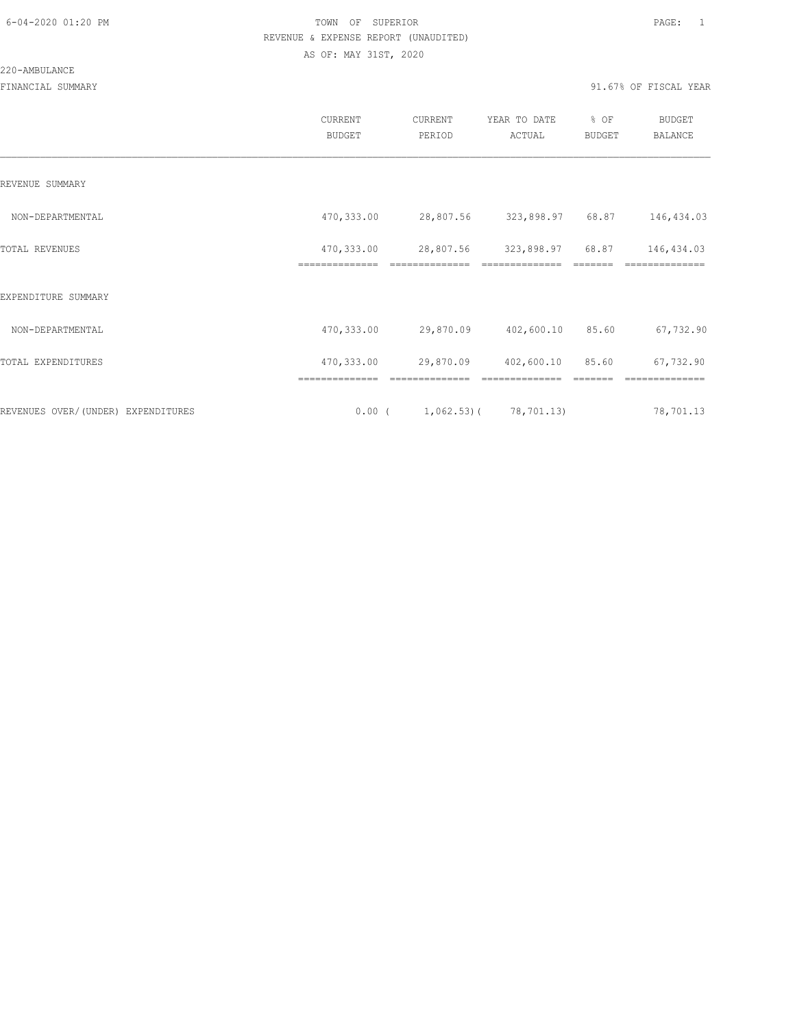|                                    | CURRENT<br><b>BUDGET</b>      | CURRENT<br>PERIOD                     | YEAR TO DATE<br>ACTUAL     | % OF<br>BUDGET | BUDGET<br><b>BALANCE</b> |
|------------------------------------|-------------------------------|---------------------------------------|----------------------------|----------------|--------------------------|
| REVENUE SUMMARY                    |                               |                                       |                            |                |                          |
| NON-DEPARTMENTAL                   | 470,333.00                    |                                       | 28,807.56 323,898.97 68.87 |                | 146,434.03               |
| TOTAL REVENUES                     | 470,333.00<br>--------------- |                                       | 28,807.56 323,898.97 68.87 |                | 146,434.03               |
| EXPENDITURE SUMMARY                |                               |                                       |                            |                |                          |
| NON-DEPARTMENTAL                   | 470,333.00                    |                                       | 29,870.09 402,600.10       | 85.60          | 67,732.90                |
| TOTAL EXPENDITURES                 | 470,333.00                    |                                       | 29,870.09 402,600.10 85.60 |                | 67,732.90                |
|                                    | ==============                |                                       | --------------             |                | --------------           |
| REVENUES OVER/(UNDER) EXPENDITURES |                               | $0.00$ ( $1,062.53$ ) ( $78,701.13$ ) |                            |                | 78,701.13                |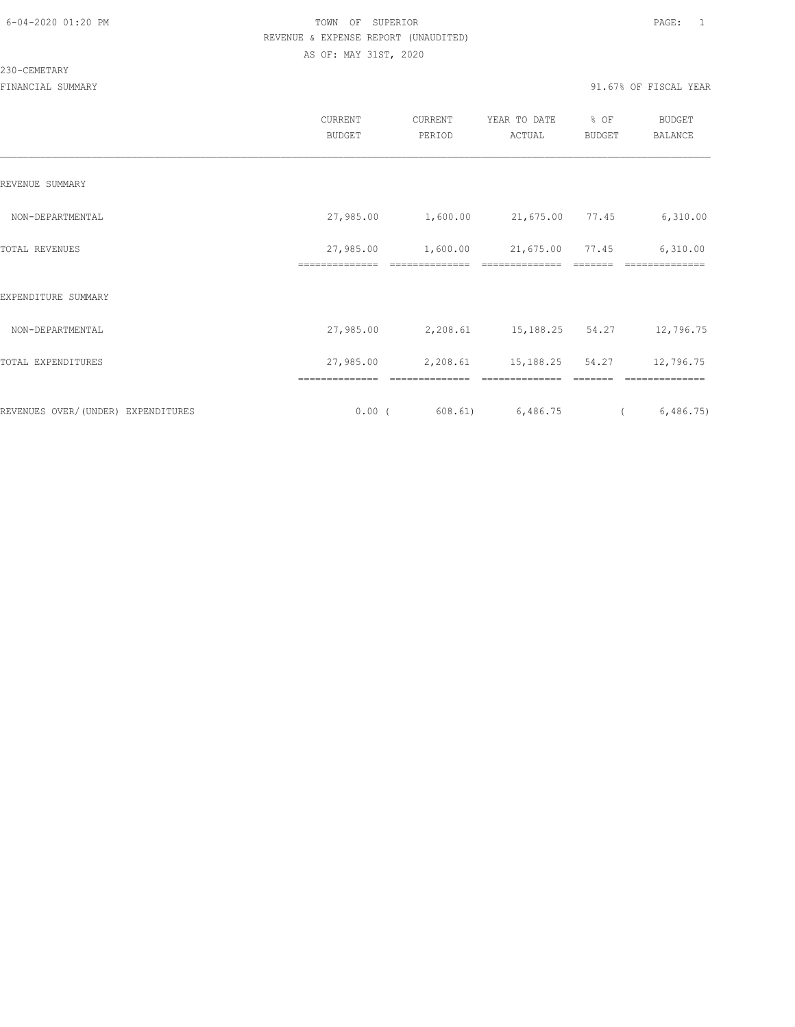230-CEMETARY

|                                    | CURRENT<br><b>BUDGET</b> | CURRENT<br>PERIOD                     | YEAR TO DATE<br>ACTUAL | % OF<br><b>BUDGET</b> | <b>BUDGET</b><br>BALANCE |
|------------------------------------|--------------------------|---------------------------------------|------------------------|-----------------------|--------------------------|
| REVENUE SUMMARY                    |                          |                                       |                        |                       |                          |
| NON-DEPARTMENTAL                   |                          | 27,985.00  1,600.00  21,675.00  77.45 |                        |                       | 6,310.00                 |
| TOTAL REVENUES                     | 27,985.00                | 1,600.00                              | 21,675.00              | 77.45                 | 6,310.00                 |
| EXPENDITURE SUMMARY                |                          |                                       |                        |                       |                          |
| NON-DEPARTMENTAL                   | 27,985.00                | 2,208.61 15,188.25 54.27              |                        |                       | 12,796.75                |
| TOTAL EXPENDITURES                 | 27,985.00                | 2,208.61 15,188.25 54.27              |                        |                       | 12,796.75                |
|                                    | ==============           | ==============                        | --------------         |                       | ==============           |
| REVENUES OVER/(UNDER) EXPENDITURES | $0.00$ (                 |                                       | 608.61) 6,486.75       | $\overline{a}$        | 6,486.75                 |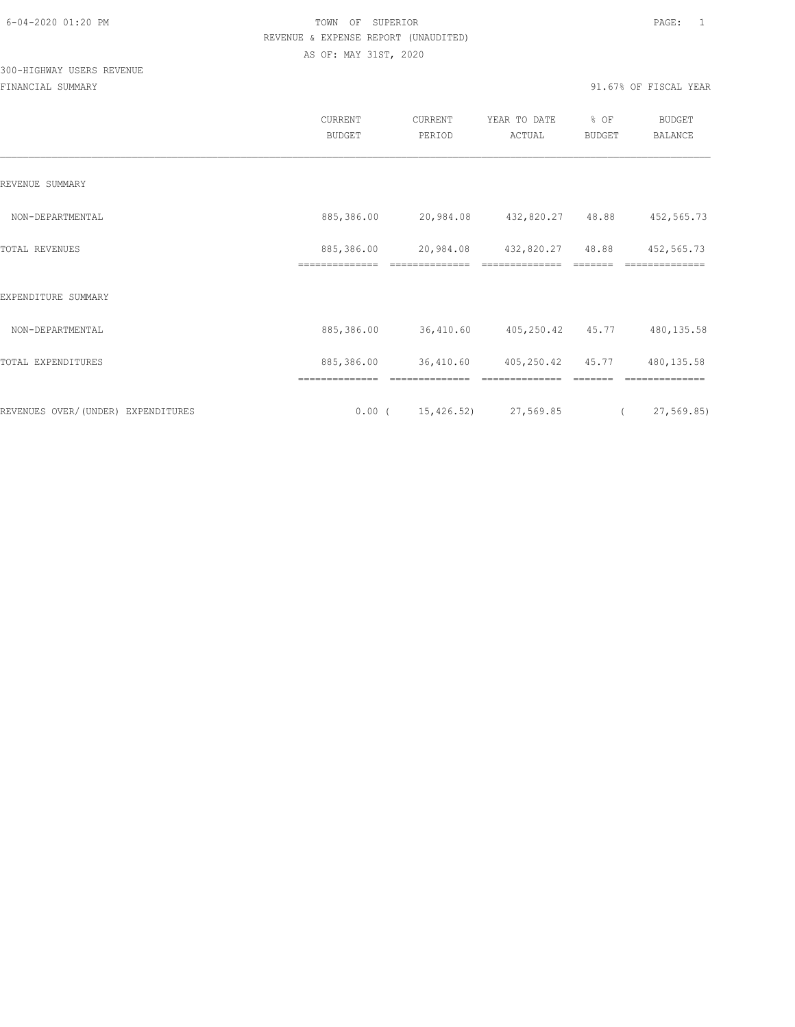# 300-HIGHWAY USERS REVENUE

|                                    | CURRENT<br><b>BUDGET</b>     | CURRENT<br>PERIOD                | YEAR TO DATE<br>ACTUAL | % OF<br>BUDGET | <b>BUDGET</b><br>BALANCE |  |
|------------------------------------|------------------------------|----------------------------------|------------------------|----------------|--------------------------|--|
| REVENUE SUMMARY                    |                              |                                  |                        |                |                          |  |
| NON-DEPARTMENTAL                   | 885,386.00                   | 20,984.08                        | 432,820.27 48.88       |                | 452,565.73               |  |
| TOTAL REVENUES                     | 885,386.00<br>============== | 20,984.08                        | 432,820.27             | 48.88          | 452,565.73<br>========== |  |
| EXPENDITURE SUMMARY                |                              |                                  |                        |                |                          |  |
| NON-DEPARTMENTAL                   | 885,386.00                   | 36,410.60                        | 405,250.42 45.77       |                | 480, 135.58              |  |
| TOTAL EXPENDITURES                 | 885,386.00                   | 36,410.60                        | 405,250.42 45.77       |                | 480, 135.58              |  |
|                                    |                              |                                  |                        |                |                          |  |
| REVENUES OVER/(UNDER) EXPENDITURES |                              | $0.00$ ( $15,426.52$ ) 27,569.85 |                        | $\overline{a}$ | 27,569.85)               |  |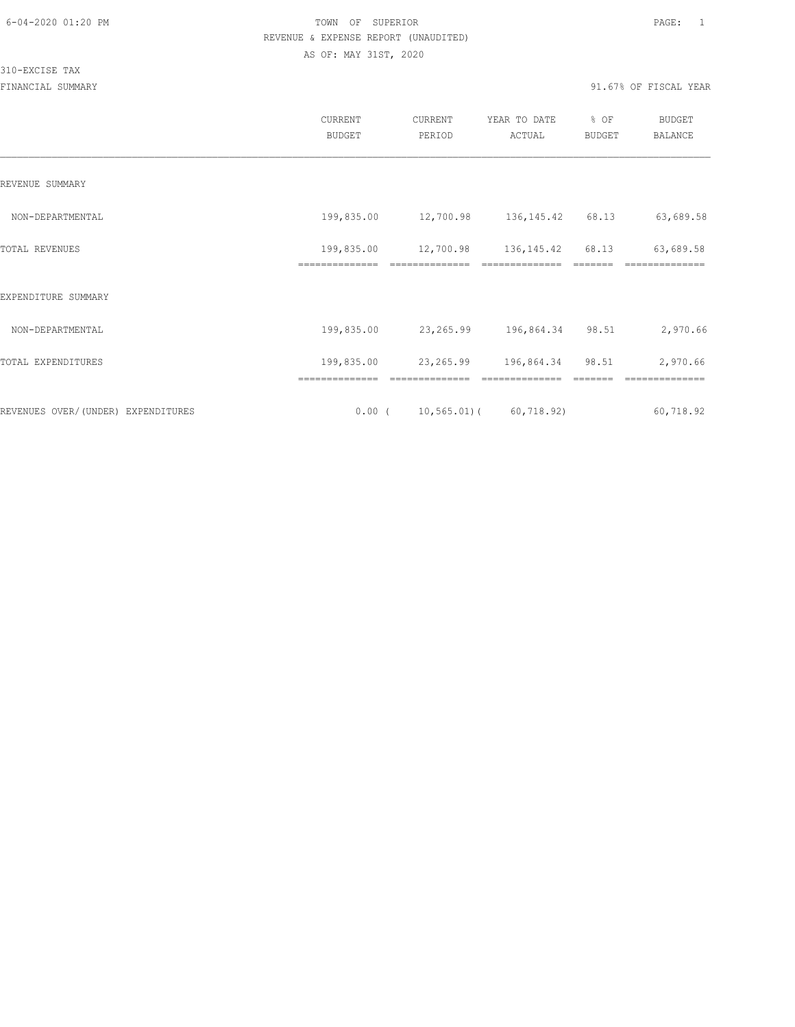310-EXCISE TAX

|                                     | <b>CURRENT</b><br><b>BUDGET</b> | CURRENT<br>PERIOD          | YEAR TO DATE<br>ACTUAL     | % OF<br>BUDGET | BUDGET<br><b>BALANCE</b> |
|-------------------------------------|---------------------------------|----------------------------|----------------------------|----------------|--------------------------|
| REVENUE SUMMARY                     |                                 |                            |                            |                |                          |
| NON-DEPARTMENTAL                    | 199,835.00                      | 12,700.98 136,145.42 68.13 |                            |                | 63,689.58                |
| TOTAL REVENUES                      | 199,835.00                      | 12,700.98                  | 136, 145.42                | 68.13          | 63,689.58                |
| EXPENDITURE SUMMARY                 |                                 |                            |                            |                |                          |
| NON-DEPARTMENTAL                    | 199,835.00                      |                            | 23, 265.99 196, 864.34     | 98.51          | 2,970.66                 |
| TOTAL EXPENDITURES                  | 199,835.00                      | 23,265.99                  | 196,864.34                 | 98.51          | 2,970.66                 |
|                                     |                                 |                            |                            |                |                          |
| REVENUES OVER/ (UNDER) EXPENDITURES | $0.00$ (                        |                            | $10, 565.01$ ( 60, 718.92) |                | 60,718.92                |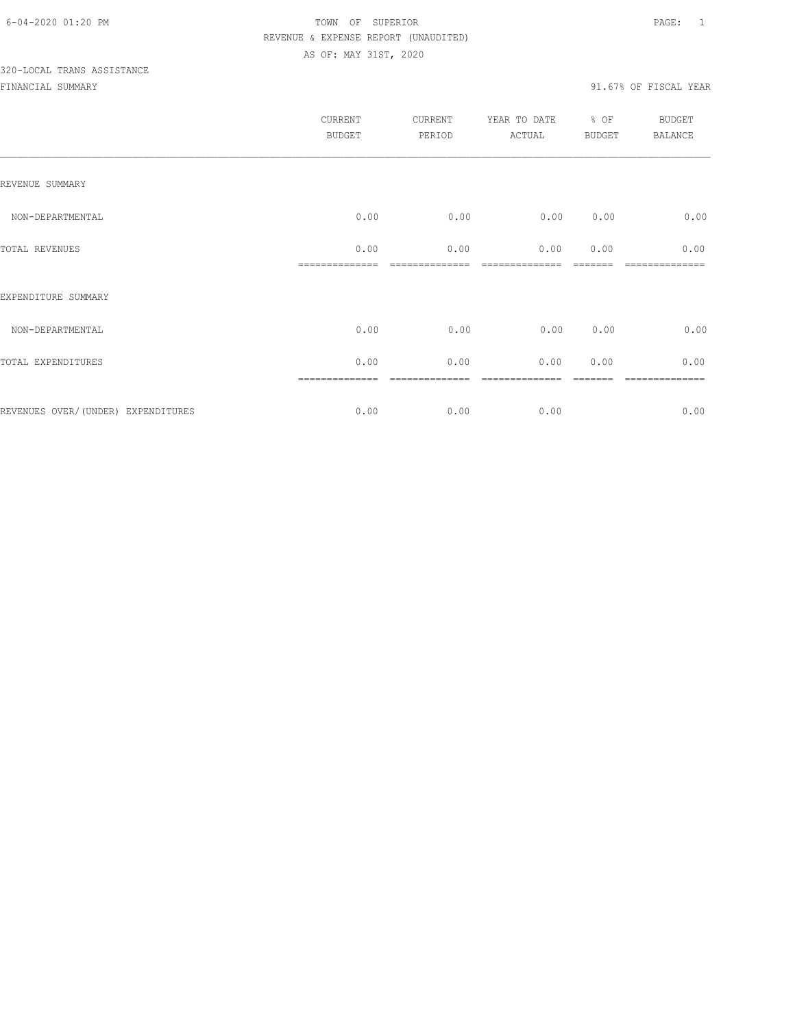# 320-LOCAL TRANS ASSISTANCE

|                                    | CURRENT<br><b>BUDGET</b> | <b>CURRENT</b><br>PERIOD | YEAR TO DATE<br>ACTUAL | % OF<br><b>BUDGET</b> | <b>BUDGET</b><br><b>BALANCE</b> |
|------------------------------------|--------------------------|--------------------------|------------------------|-----------------------|---------------------------------|
| REVENUE SUMMARY                    |                          |                          |                        |                       |                                 |
| NON-DEPARTMENTAL                   | 0.00                     | 0.00                     | 0.00                   | 0.00                  | 0.00                            |
| TOTAL REVENUES                     | 0.00                     | 0.00                     | 0.00                   | 0.00                  | 0.00                            |
| EXPENDITURE SUMMARY                |                          |                          |                        |                       |                                 |
| NON-DEPARTMENTAL                   | 0.00                     | 0.00                     | 0.00                   | 0.00                  | 0.00                            |
| TOTAL EXPENDITURES                 | 0.00                     | 0.00                     | 0.00                   | 0.00                  | 0.00                            |
| REVENUES OVER/(UNDER) EXPENDITURES | 0.00                     | 0.00                     | 0.00                   |                       | =======<br>0.00                 |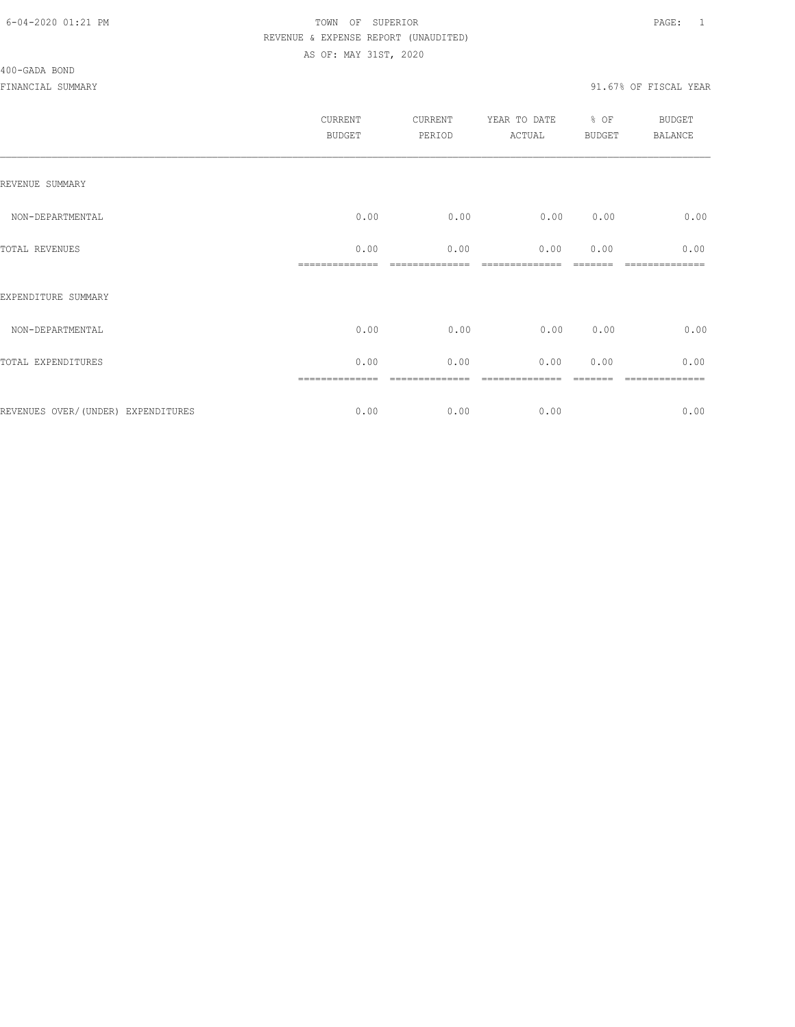| <b>CURRENT</b><br><b>BUDGET</b> | CURRENT<br>PERIOD | YEAR TO DATE<br>ACTUAL | % OF | <b>BUDGET</b><br><b>BALANCE</b> |
|---------------------------------|-------------------|------------------------|------|---------------------------------|
|                                 |                   |                        |      |                                 |
| 0.00                            | 0.00              | 0.00                   | 0.00 | 0.00                            |
| 0.00                            | 0.00              | 0.00                   | 0.00 | 0.00                            |
|                                 |                   |                        |      |                                 |
| 0.00                            | 0.00              | 0.00                   | 0.00 | 0.00                            |
| 0.00                            | 0.00              | 0.00                   | 0.00 | 0.00                            |
| 0.00                            | 0.00              | 0.00                   |      | ========<br>0.00                |
|                                 |                   |                        |      | <b>BUDGET</b>                   |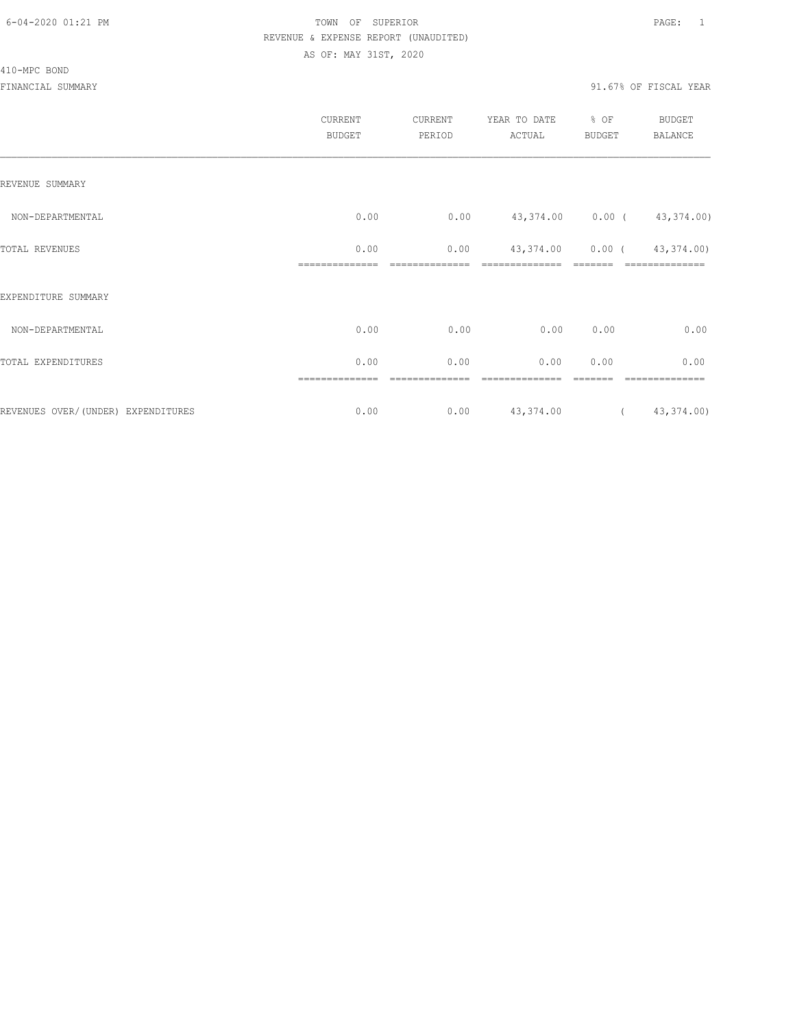410-MPC BOND

|                                    | CURRENT<br><b>BUDGET</b> | CURRENT<br>PERIOD | YEAR TO DATE<br>ACTUAL     | % OF<br><b>BUDGET</b> | <b>BUDGET</b><br><b>BALANCE</b> |
|------------------------------------|--------------------------|-------------------|----------------------------|-----------------------|---------------------------------|
| REVENUE SUMMARY                    |                          |                   |                            |                       |                                 |
| NON-DEPARTMENTAL                   | 0.00                     | 0.00              | 43,374.00 0.00 (43,374.00) |                       |                                 |
| TOTAL REVENUES                     | 0.00                     | 0.00              | 43,374.00 0.00 (43,374.00) |                       |                                 |
| EXPENDITURE SUMMARY                |                          |                   |                            |                       |                                 |
| NON-DEPARTMENTAL                   | 0.00                     | 0.00              | 0.00                       | 0.00                  | 0.00                            |
| TOTAL EXPENDITURES                 | 0.00                     | 0.00              | 0.00                       | 0.00                  | 0.00                            |
|                                    |                          |                   |                            |                       |                                 |
| REVENUES OVER/(UNDER) EXPENDITURES | 0.00                     | 0.00              | 43, 374.00                 |                       | (43, 374.00)                    |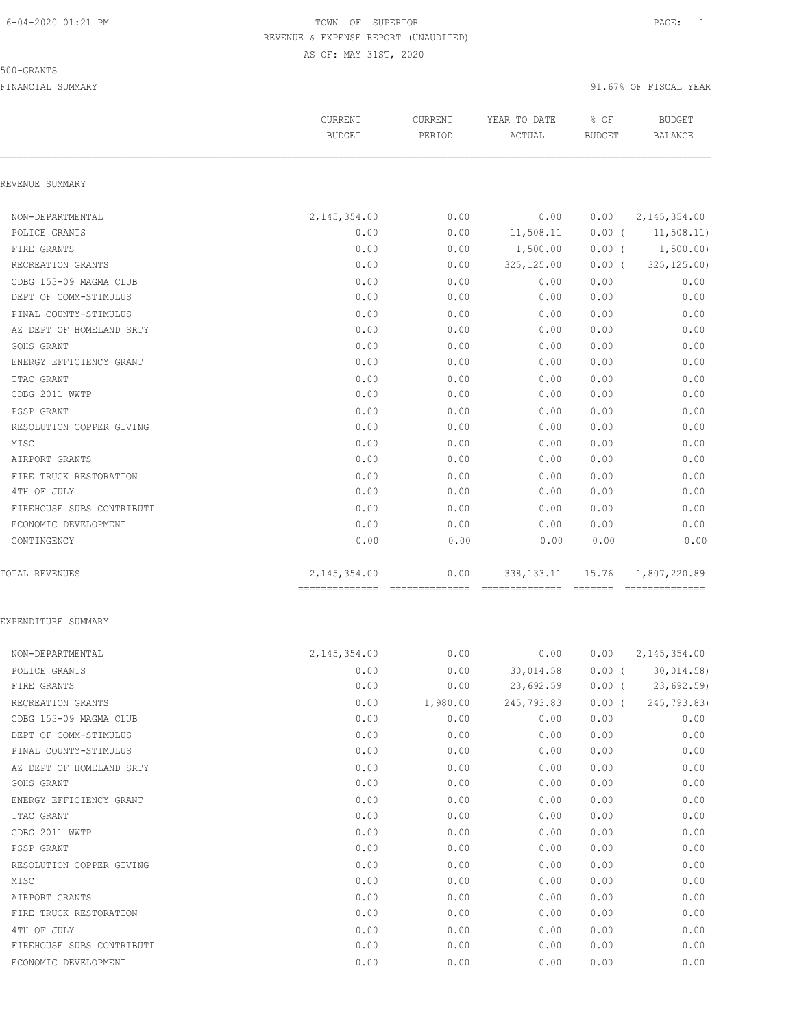#### 500-GRANTS

|                           | CURRENT<br><b>BUDGET</b>         | <b>CURRENT</b><br>PERIOD | YEAR TO DATE<br>ACTUAL | % OF<br><b>BUDGET</b> | <b>BUDGET</b><br><b>BALANCE</b> |
|---------------------------|----------------------------------|--------------------------|------------------------|-----------------------|---------------------------------|
| REVENUE SUMMARY           |                                  |                          |                        |                       |                                 |
| NON-DEPARTMENTAL          | 2, 145, 354.00                   | 0.00                     | 0.00                   | 0.00                  | 2, 145, 354.00                  |
| POLICE GRANTS             | 0.00                             | 0.00                     | 11,508.11              | $0.00$ (              | 11,508.11)                      |
| FIRE GRANTS               | 0.00                             | 0.00                     | 1,500.00               | $0.00$ (              | 1,500.00)                       |
| RECREATION GRANTS         | 0.00                             | 0.00                     | 325, 125.00            | 0.00(                 | 325, 125.00                     |
| CDBG 153-09 MAGMA CLUB    | 0.00                             | 0.00                     | 0.00                   | 0.00                  | 0.00                            |
| DEPT OF COMM-STIMULUS     | 0.00                             | 0.00                     | 0.00                   | 0.00                  | 0.00                            |
| PINAL COUNTY-STIMULUS     | 0.00                             | 0.00                     | 0.00                   | 0.00                  | 0.00                            |
| AZ DEPT OF HOMELAND SRTY  | 0.00                             | 0.00                     | 0.00                   | 0.00                  | 0.00                            |
| GOHS GRANT                | 0.00                             | 0.00                     | 0.00                   | 0.00                  | 0.00                            |
| ENERGY EFFICIENCY GRANT   | 0.00                             | 0.00                     | 0.00                   | 0.00                  | 0.00                            |
| TTAC GRANT                | 0.00                             | 0.00                     | 0.00                   | 0.00                  | 0.00                            |
| CDBG 2011 WWTP            | 0.00                             | 0.00                     | 0.00                   | 0.00                  | 0.00                            |
| PSSP GRANT                | 0.00                             | 0.00                     | 0.00                   | 0.00                  | 0.00                            |
| RESOLUTION COPPER GIVING  | 0.00                             | 0.00                     | 0.00                   | 0.00                  | 0.00                            |
| MISC                      | 0.00                             | 0.00                     | 0.00                   | 0.00                  | 0.00                            |
| AIRPORT GRANTS            | 0.00                             | 0.00                     | 0.00                   | 0.00                  | 0.00                            |
| FIRE TRUCK RESTORATION    | 0.00                             | 0.00                     | 0.00                   | 0.00                  | 0.00                            |
| 4TH OF JULY               | 0.00                             | 0.00                     | 0.00                   | 0.00                  | 0.00                            |
| FIREHOUSE SUBS CONTRIBUTI | 0.00                             | 0.00                     | 0.00                   | 0.00                  | 0.00                            |
| ECONOMIC DEVELOPMENT      | 0.00                             | 0.00                     | 0.00                   | 0.00                  | 0.00                            |
| CONTINGENCY               | 0.00                             | 0.00                     | 0.00                   | 0.00                  | 0.00                            |
| <b>TOTAL REVENUES</b>     | 2, 145, 354.00<br>============== | 0.00<br>- ============== | 338, 133. 11           | 15.76<br>=======      | 1,807,220.89<br>=============   |
| EXPENDITURE SUMMARY       |                                  |                          |                        |                       |                                 |
| NON-DEPARTMENTAL          | 2, 145, 354.00                   | 0.00                     | 0.00                   | 0.00                  | 2, 145, 354.00                  |
| POLICE GRANTS             | 0.00                             | 0.00                     | 30,014.58              | $0.00$ (              | 30,014.58)                      |
| FIRE GRANTS               | 0.00                             | 0.00                     | 23,692.59              | $0.00$ (              | 23,692.59                       |
| RECREATION GRANTS         | 0.00                             | 1,980.00                 | 245,793.83             | $0.00$ (              | 245,793.83)                     |
| CDBG 153-09 MAGMA CLUB    | 0.00                             | 0.00                     | 0.00                   | 0.00                  | 0.00                            |
| DEPT OF COMM-STIMULUS     | 0.00                             | 0.00                     | 0.00                   | 0.00                  | 0.00                            |
| PINAL COUNTY-STIMULUS     | 0.00                             | 0.00                     | 0.00                   | 0.00                  | 0.00                            |
| AZ DEPT OF HOMELAND SRTY  | 0.00                             |                          |                        | 0.00                  | 0.00                            |

| NON-DEPARTMENTAL          | 2,145,354.00 | 0.00     | 0.00       | 0.00     | 2, 145, 354.00 |
|---------------------------|--------------|----------|------------|----------|----------------|
| POLICE GRANTS             | 0.00         | 0.00     | 30,014.58  | $0.00$ ( | 30,014.58)     |
| FIRE GRANTS               | 0.00         | 0.00     | 23,692.59  | $0.00$ ( | 23,692.59      |
| RECREATION GRANTS         | 0.00         | 1,980.00 | 245,793.83 | 0.00(    | 245,793.83)    |
| CDBG 153-09 MAGMA CLUB    | 0.00         | 0.00     | 0.00       | 0.00     | 0.00           |
| DEPT OF COMM-STIMULUS     | 0.00         | 0.00     | 0.00       | 0.00     | 0.00           |
| PINAL COUNTY-STIMULUS     | 0.00         | 0.00     | 0.00       | 0.00     | 0.00           |
| AZ DEPT OF HOMELAND SRTY  | 0.00         | 0.00     | 0.00       | 0.00     | 0.00           |
| GOHS GRANT                | 0.00         | 0.00     | 0.00       | 0.00     | 0.00           |
| ENERGY EFFICIENCY GRANT   | 0.00         | 0.00     | 0.00       | 0.00     | 0.00           |
| TTAC GRANT                | 0.00         | 0.00     | 0.00       | 0.00     | 0.00           |
| CDBG 2011 WWTP            | 0.00         | 0.00     | 0.00       | 0.00     | 0.00           |
| PSSP GRANT                | 0.00         | 0.00     | 0.00       | 0.00     | 0.00           |
| RESOLUTION COPPER GIVING  | 0.00         | 0.00     | 0.00       | 0.00     | 0.00           |
| MISC                      | 0.00         | 0.00     | 0.00       | 0.00     | 0.00           |
| AIRPORT GRANTS            | 0.00         | 0.00     | 0.00       | 0.00     | 0.00           |
| FIRE TRUCK RESTORATION    | 0.00         | 0.00     | 0.00       | 0.00     | 0.00           |
| 4TH OF JULY               | 0.00         | 0.00     | 0.00       | 0.00     | 0.00           |
| FIREHOUSE SUBS CONTRIBUTI | 0.00         | 0.00     | 0.00       | 0.00     | 0.00           |
| ECONOMIC DEVELOPMENT      | 0.00         | 0.00     | 0.00       | 0.00     | 0.00           |
|                           |              |          |            |          |                |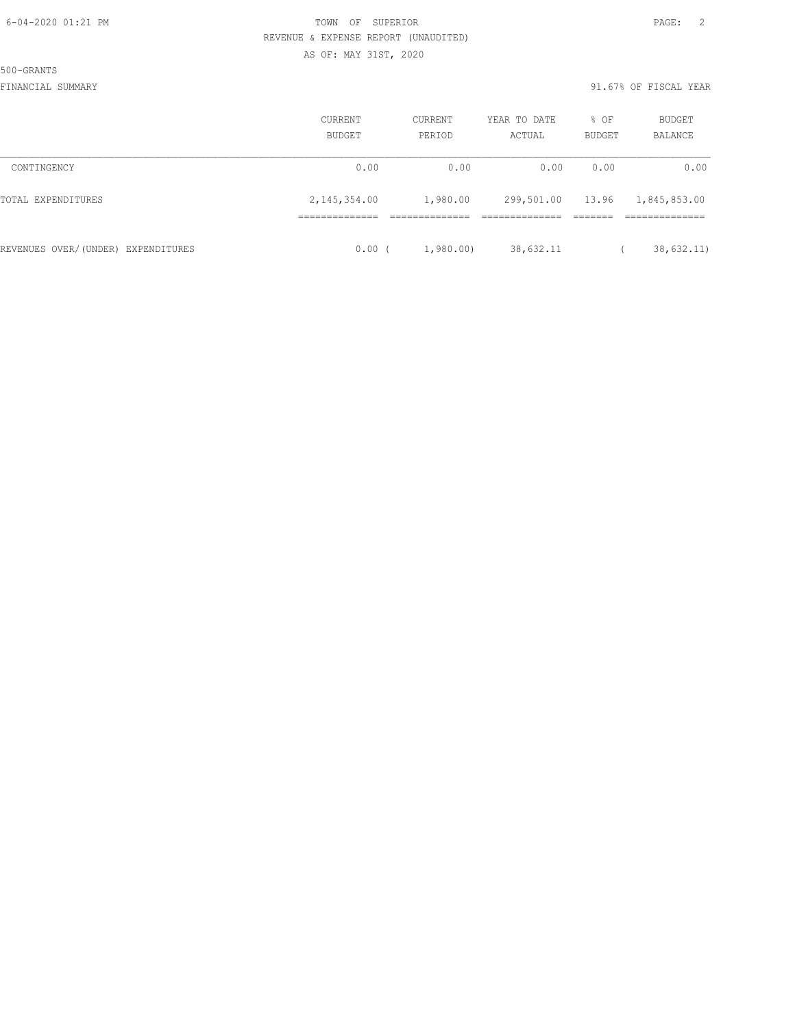500-GRANTS

|                                    | <b>CURRENT</b><br>BUDGET | CURRENT<br>PERIOD | YEAR TO DATE<br>ACTUAL | % OF<br>BUDGET | <b>BUDGET</b><br>BALANCE |
|------------------------------------|--------------------------|-------------------|------------------------|----------------|--------------------------|
| CONTINGENCY                        | 0.00                     | 0.00              | 0.00                   | 0.00           | 0.00                     |
| TOTAL EXPENDITURES                 | 2, 145, 354.00           | 1,980.00          | 299,501.00 13.96       |                | 1,845,853.00             |
|                                    |                          |                   |                        |                |                          |
| REVENUES OVER/(UNDER) EXPENDITURES | 0.00                     | 1,980.00          | 38,632.11              |                | 38,632.11)               |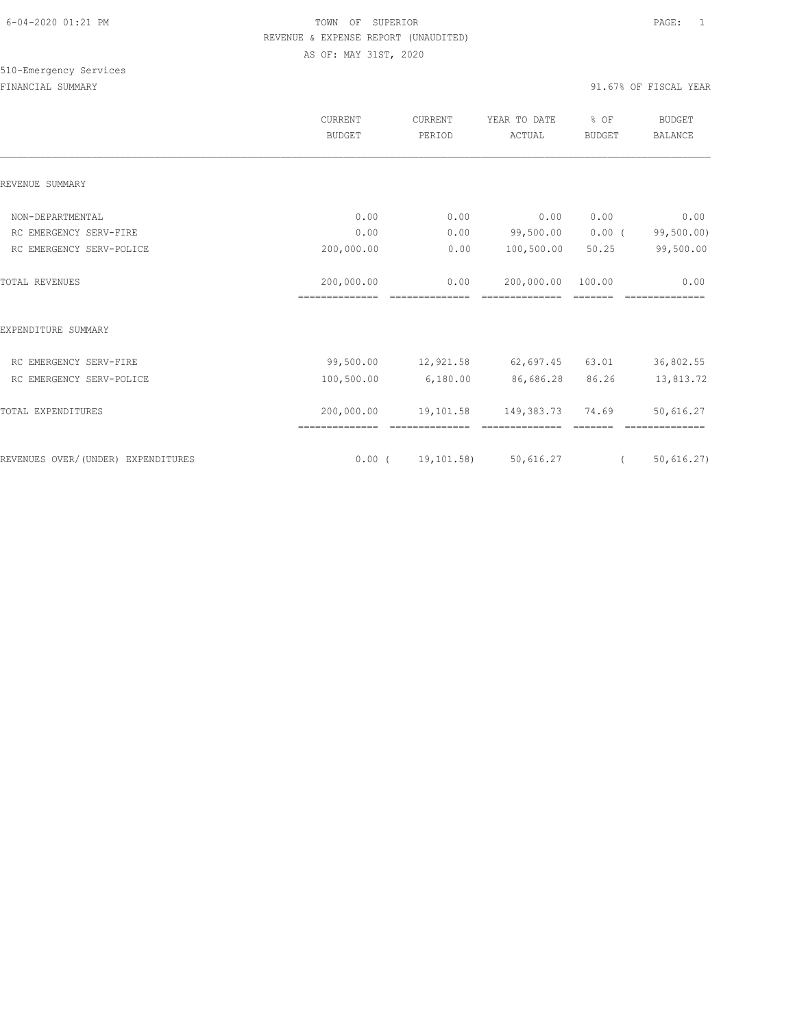# 510-Emergency Services

|                                    | <b>CURRENT</b><br><b>BUDGET</b> | CURRENT<br>PERIOD      | YEAR TO DATE<br>ACTUAL | % OF<br><b>BUDGET</b> | <b>BUDGET</b><br><b>BALANCE</b> |
|------------------------------------|---------------------------------|------------------------|------------------------|-----------------------|---------------------------------|
| REVENUE SUMMARY                    |                                 |                        |                        |                       |                                 |
| NON-DEPARTMENTAL                   | 0.00                            | 0.00                   | 0.00                   | 0.00                  | 0.00                            |
| RC EMERGENCY SERV-FIRE             | 0.00                            | 0.00                   | 99,500.00              | $0.00$ (              | 99,500.00)                      |
| RC EMERGENCY SERV-POLICE           | 200,000.00                      | 0.00                   | 100,500.00             | 50.25                 | 99,500.00                       |
| <b>TOTAL REVENUES</b>              | 200,000.00<br>==============    | 0.00<br>-------------- | 200,000.00             | 100.00                | 0.00                            |
| EXPENDITURE SUMMARY                |                                 |                        |                        |                       |                                 |
| RC EMERGENCY SERV-FIRE             | 99,500.00                       | 12,921.58              | 62,697.45              | 63.01                 | 36,802.55                       |
| RC EMERGENCY SERV-POLICE           | 100,500.00                      | 6,180.00               | 86,686.28              | 86.26                 | 13,813.72                       |
| TOTAL EXPENDITURES                 | 200,000.00                      | 19,101.58              | 149,383.73             | 74.69                 | 50,616.27                       |
| REVENUES OVER/(UNDER) EXPENDITURES |                                 | 0.00(19,101.58)        | 50,616.27              |                       | 50,616.27)                      |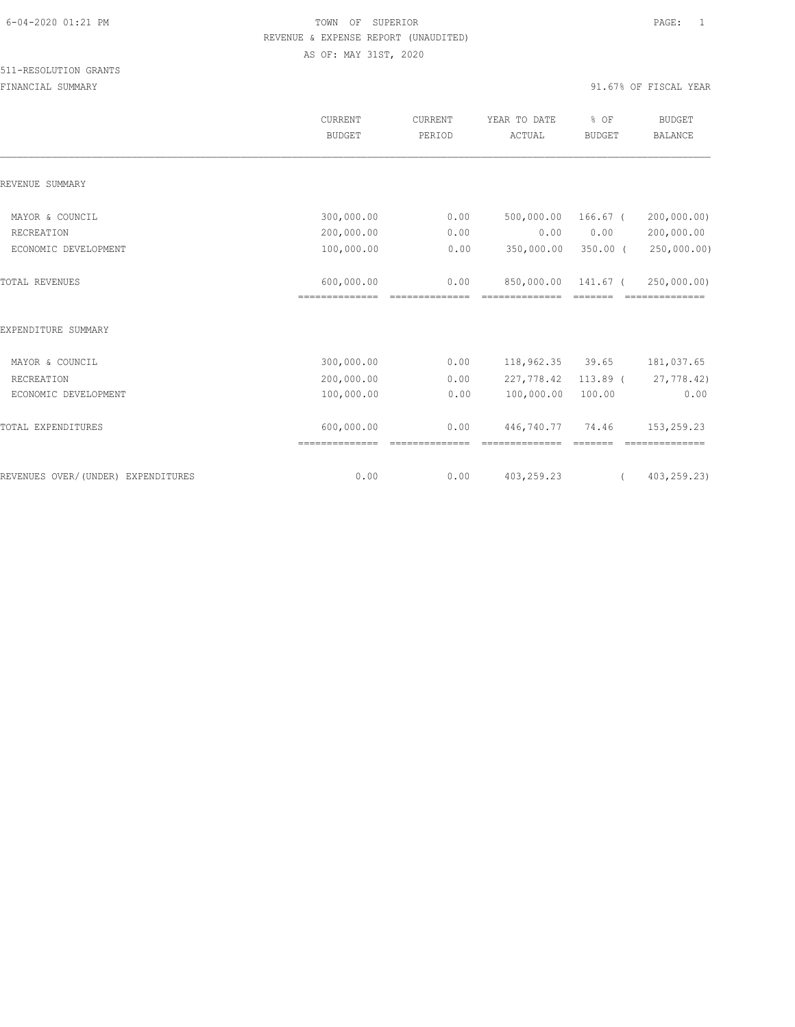|                                    | CURRENT<br><b>BUDGET</b>     | <b>CURRENT</b><br>PERIOD | YEAR TO DATE<br>ACTUAL | % OF<br><b>BUDGET</b> | <b>BUDGET</b><br><b>BALANCE</b> |
|------------------------------------|------------------------------|--------------------------|------------------------|-----------------------|---------------------------------|
| REVENUE SUMMARY                    |                              |                          |                        |                       |                                 |
| MAYOR & COUNCIL                    | 300,000.00                   | 0.00                     | 500,000.00             | 166.67 (              | 200,000.00)                     |
| RECREATION                         | 200,000.00                   | 0.00                     | 0.00                   | 0.00                  | 200,000.00                      |
| ECONOMIC DEVELOPMENT               | 100,000.00                   | 0.00                     | 350,000.00             | $350.00$ (            | 250,000.00)                     |
| TOTAL REVENUES                     | 600,000.00<br>============== | 0.00                     | 850,000.00             | 141.67 (              | 250,000.00)                     |
| EXPENDITURE SUMMARY                |                              |                          |                        |                       |                                 |
| MAYOR & COUNCIL                    | 300,000.00                   | 0.00                     | 118,962.35             | 39.65                 | 181,037.65                      |
| RECREATION                         | 200,000.00                   | 0.00                     | 227,778.42             | $113.89$ (            | 27,778.42)                      |
| ECONOMIC DEVELOPMENT               | 100,000.00                   | 0.00                     | 100,000.00             | 100.00                | 0.00                            |
| TOTAL EXPENDITURES                 | 600,000.00<br>============== | 0.00                     | 446,740.77             | 74.46                 | 153,259.23                      |
| REVENUES OVER/(UNDER) EXPENDITURES | 0.00                         | 0.00                     | 403,259.23             |                       | 403,259.23)                     |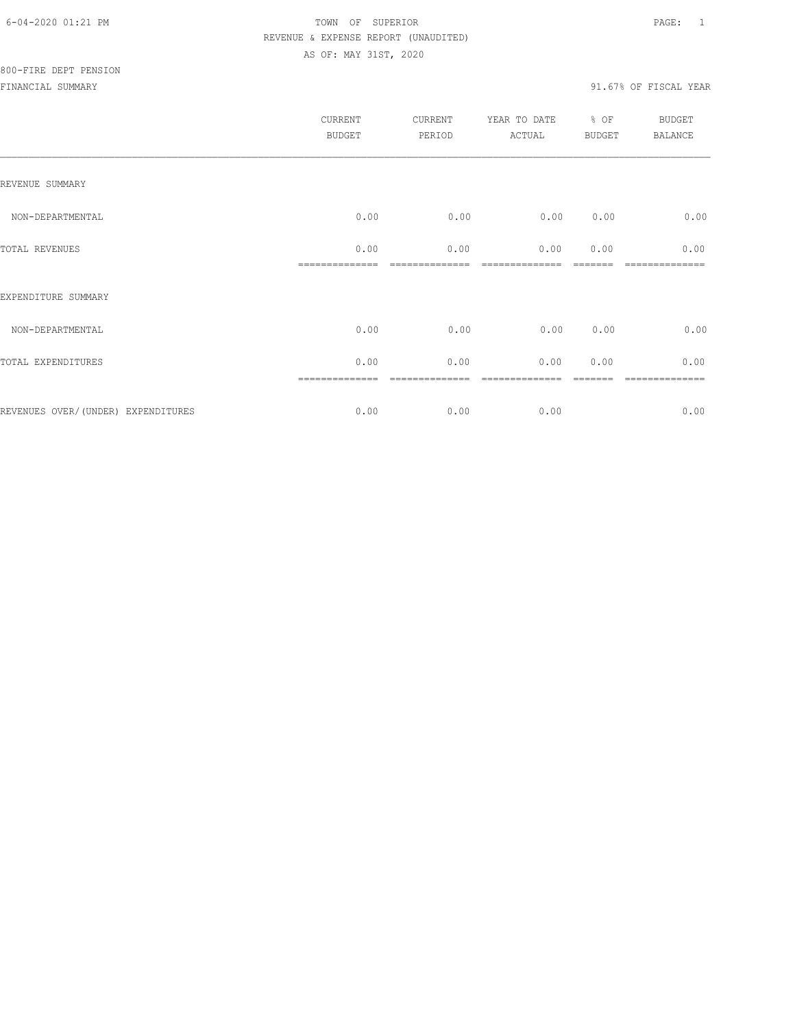|                                    | CURRENT<br><b>BUDGET</b> | CURRENT<br>PERIOD | YEAR TO DATE<br>ACTUAL | % OF<br>BUDGET | <b>BUDGET</b><br><b>BALANCE</b> |
|------------------------------------|--------------------------|-------------------|------------------------|----------------|---------------------------------|
| REVENUE SUMMARY                    |                          |                   |                        |                |                                 |
| NON-DEPARTMENTAL                   | 0.00                     | 0.00              | 0.00                   | 0.00           | 0.00                            |
| TOTAL REVENUES                     | 0.00                     | 0.00              | 0.00                   | 0.00           | 0.00                            |
| EXPENDITURE SUMMARY                |                          |                   |                        |                |                                 |
| NON-DEPARTMENTAL                   | 0.00                     | 0.00              | 0.00                   | 0.00           | 0.00                            |
| TOTAL EXPENDITURES                 | 0.00                     | 0.00              | 0.00                   | 0.00           | 0.00                            |
|                                    |                          |                   |                        |                |                                 |
| REVENUES OVER/(UNDER) EXPENDITURES | 0.00                     | 0.00              | 0.00                   |                | 0.00                            |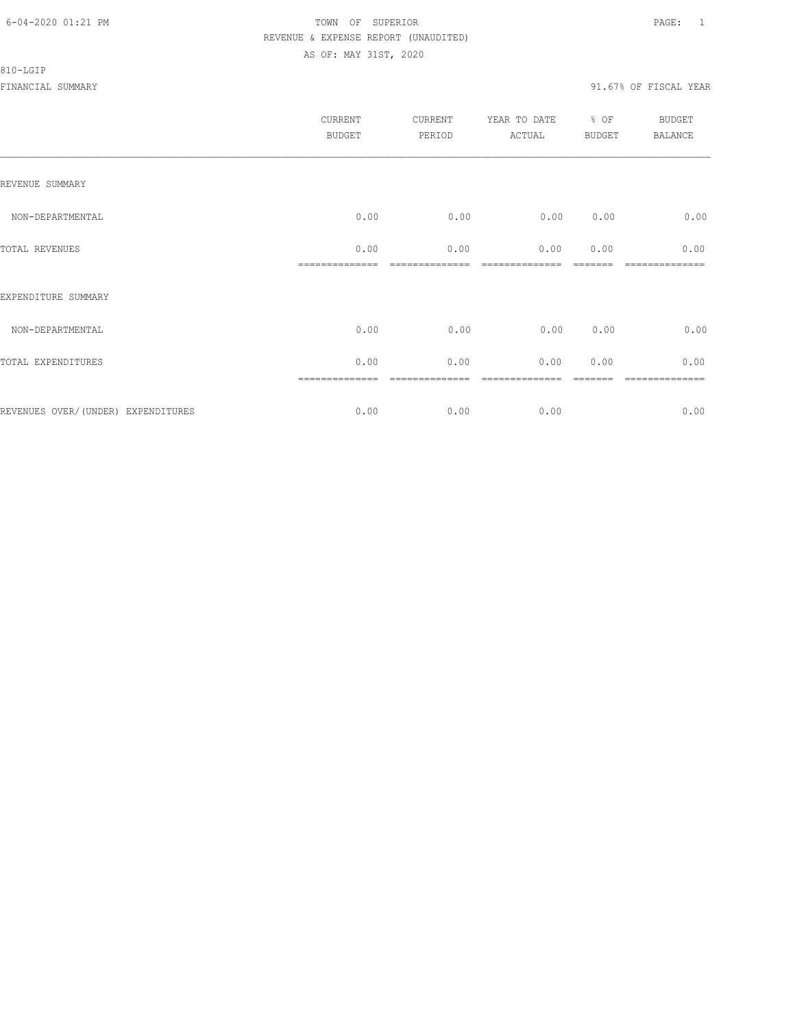#### 810-LGIP

|                                     | CURRENT<br><b>BUDGET</b> | CURRENT<br>PERIOD | YEAR TO DATE % OF<br>ACTUAL | <b>BUDGET</b> | <b>BUDGET</b><br><b>BALANCE</b> |
|-------------------------------------|--------------------------|-------------------|-----------------------------|---------------|---------------------------------|
| REVENUE SUMMARY                     |                          |                   |                             |               |                                 |
| NON-DEPARTMENTAL                    | 0.00                     | 0.00              | 0.00                        | 0.00          | 0.00                            |
| TOTAL REVENUES                      | 0.00                     | 0.00              | 0.00                        | 0.00          | 0.00                            |
| EXPENDITURE SUMMARY                 |                          |                   |                             |               |                                 |
| NON-DEPARTMENTAL                    | 0.00                     | 0.00              | 0.00                        | 0.00          | 0.00                            |
| TOTAL EXPENDITURES                  | 0.00                     | 0.00              | 0.00                        | 0.00          | 0.00                            |
|                                     | ==============           | ----------        |                             |               | ============                    |
| REVENUES OVER/ (UNDER) EXPENDITURES | 0.00                     | 0.00              | 0.00                        |               | 0.00                            |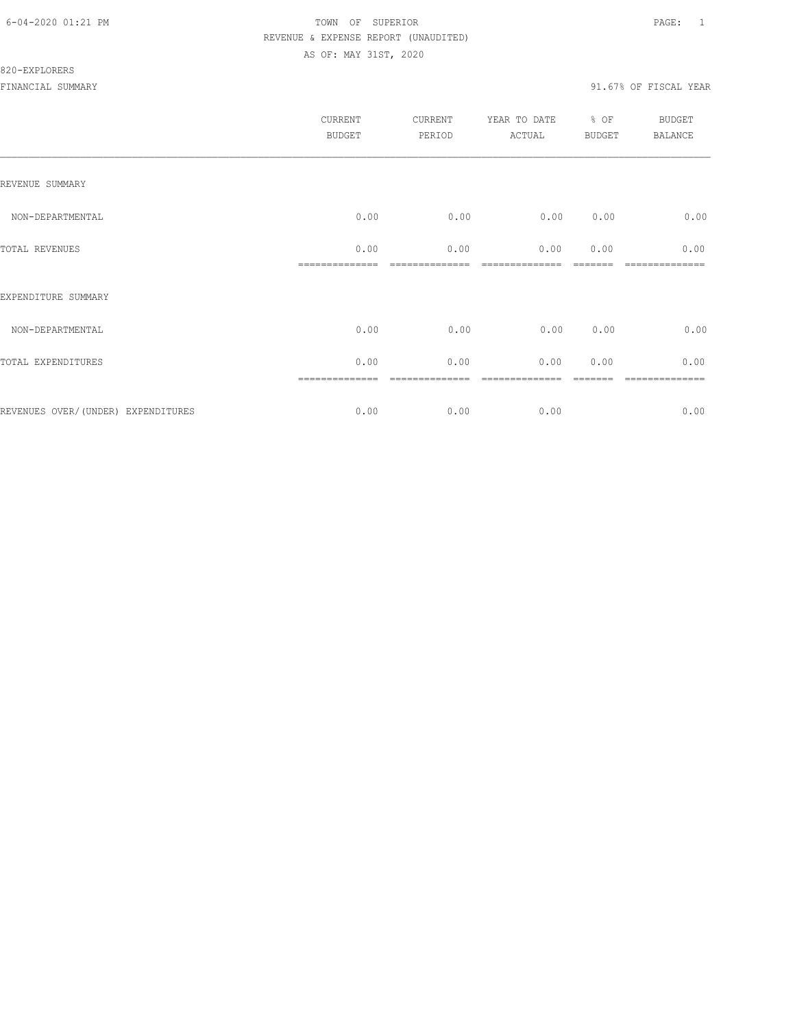|                                     | CURRENT<br><b>BUDGET</b> | CURRENT<br>PERIOD | YEAR TO DATE<br>ACTUAL | % OF<br><b>BUDGET</b> | <b>BUDGET</b><br><b>BALANCE</b> |
|-------------------------------------|--------------------------|-------------------|------------------------|-----------------------|---------------------------------|
| REVENUE SUMMARY                     |                          |                   |                        |                       |                                 |
| NON-DEPARTMENTAL                    | 0.00                     | 0.00              | 0.00                   | 0.00                  | 0.00                            |
| TOTAL REVENUES                      | 0.00                     | 0.00              | 0.00                   | 0.00                  | 0.00                            |
| EXPENDITURE SUMMARY                 |                          |                   |                        |                       |                                 |
| NON-DEPARTMENTAL                    | 0.00                     | 0.00              | 0.00                   | 0.00                  | 0.00                            |
| TOTAL EXPENDITURES                  | 0.00                     | 0.00              | 0.00                   | 0.00                  | 0.00                            |
| REVENUES OVER/ (UNDER) EXPENDITURES | 0.00                     | 0.00              | 0.00                   |                       | ========<br>0.00                |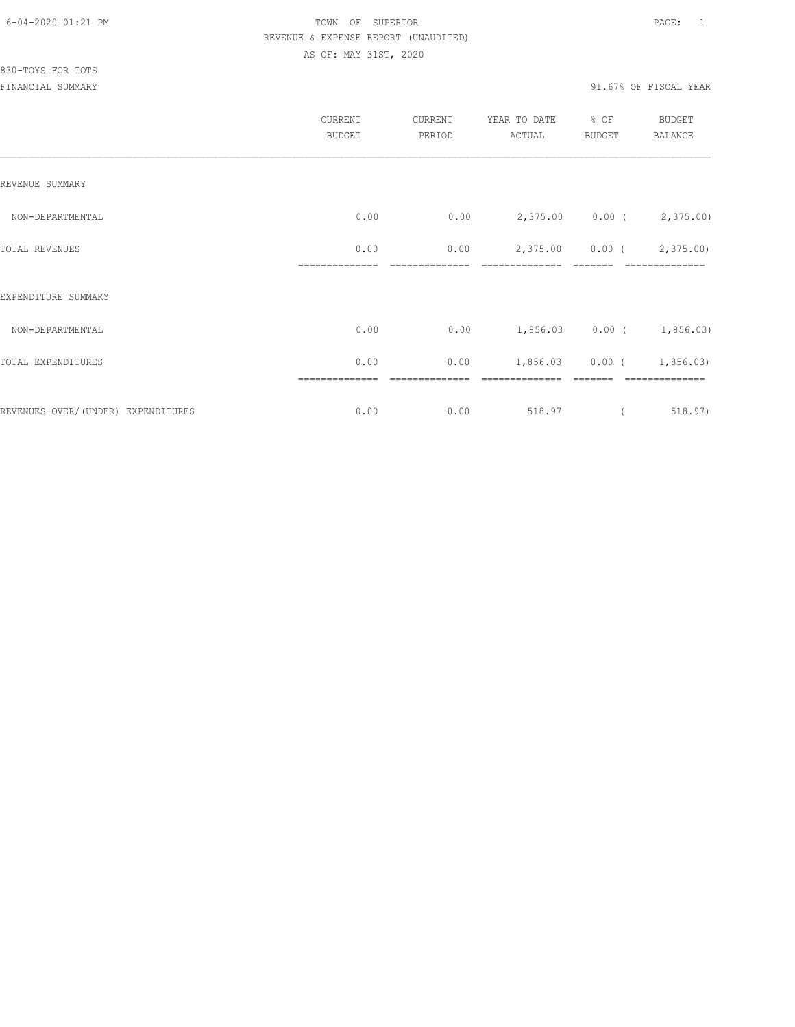|                                     | CURRENT<br><b>BUDGET</b> | CURRENT<br>PERIOD | YEAR TO DATE<br>ACTUAL | % OF<br><b>BUDGET</b> | <b>BUDGET</b><br>BALANCE    |
|-------------------------------------|--------------------------|-------------------|------------------------|-----------------------|-----------------------------|
| REVENUE SUMMARY                     |                          |                   |                        |                       |                             |
| NON-DEPARTMENTAL                    | 0.00                     | 0.00              |                        |                       | 2,375.00 0.00 (2,375.00)    |
| TOTAL REVENUES                      | 0.00                     | 0.00              | 2,375.00               |                       | $0.00$ ( $2,375.00$ )       |
| EXPENDITURE SUMMARY                 |                          |                   |                        |                       |                             |
| NON-DEPARTMENTAL                    | 0.00                     | 0.00              |                        |                       | $1,856.03$ 0.00 ( 1,856.03) |
| TOTAL EXPENDITURES                  | 0.00                     | 0.00              |                        |                       | $1,856.03$ 0.00 ( 1,856.03) |
| REVENUES OVER/ (UNDER) EXPENDITURES | 0.00                     | 0.00              | 518.97                 |                       | 518.97)                     |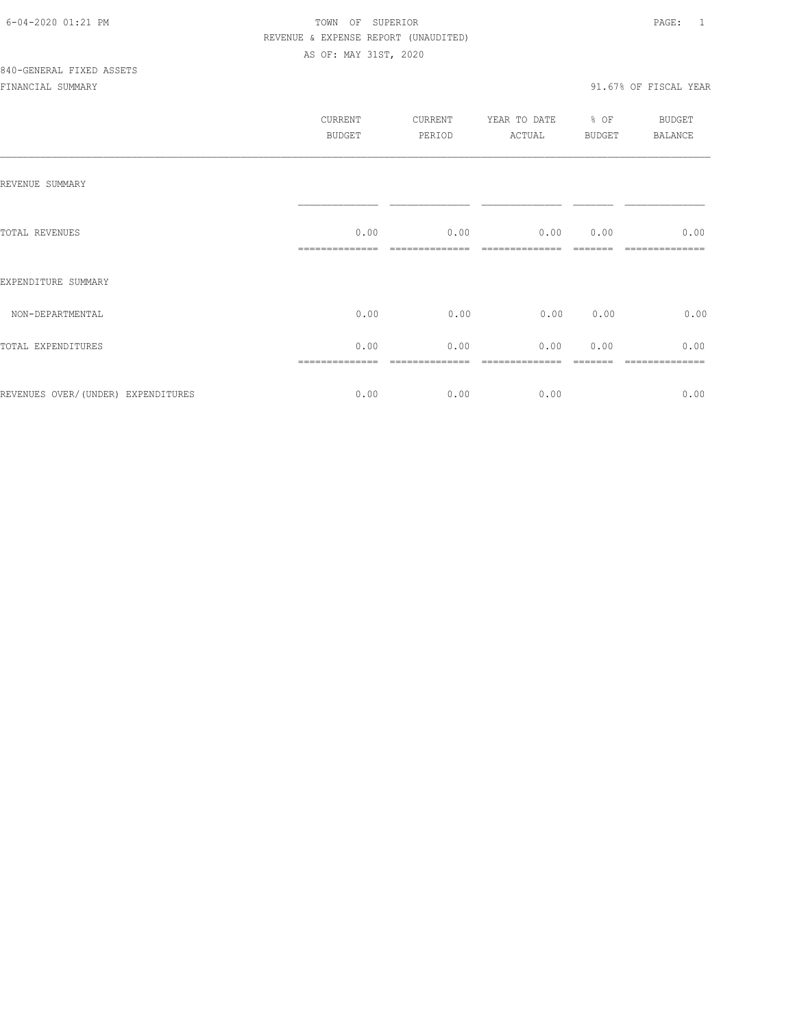|                                    | CURRENT<br><b>BUDGET</b> | CURRENT<br>PERIOD | YEAR TO DATE<br>ACTUAL | $%$ OF<br><b>BUDGET</b> | <b>BUDGET</b><br>BALANCE |
|------------------------------------|--------------------------|-------------------|------------------------|-------------------------|--------------------------|
| REVENUE SUMMARY                    |                          |                   |                        |                         |                          |
| TOTAL REVENUES                     | 0.00                     | 0.00              | $0.00$ $0.00$          |                         | 0.00                     |
| EXPENDITURE SUMMARY                |                          |                   |                        |                         |                          |
| NON-DEPARTMENTAL                   | 0.00                     | 0.00              | 0.00                   | 0.00                    | 0.00                     |
| TOTAL EXPENDITURES                 | 0.00                     | 0.00              | 0.00                   | 0.00                    | 0.00                     |
| REVENUES OVER/(UNDER) EXPENDITURES | 0.00                     | 0.00              | 0.00                   |                         | 0.00                     |